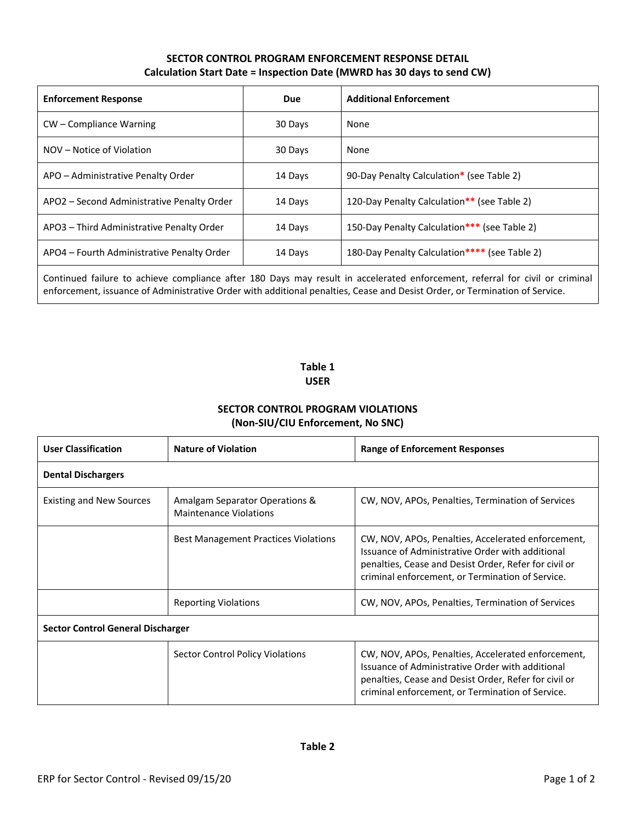## **SECTOR CONTROL PROGRAM ENFORCEMENT RESPONSE DETAIL Calculation Start Date = Inspection Date (MWRD has 30 days to send CW)**

| <b>Enforcement Response</b>                | <b>Due</b> | <b>Additional Enforcement</b>                 |  |
|--------------------------------------------|------------|-----------------------------------------------|--|
| CW – Compliance Warning                    | 30 Days    | None                                          |  |
| NOV – Notice of Violation                  | 30 Days    | None                                          |  |
| APO - Administrative Penalty Order         | 14 Days    | 90-Day Penalty Calculation* (see Table 2)     |  |
| APO2 - Second Administrative Penalty Order | 14 Days    | 120-Day Penalty Calculation** (see Table 2)   |  |
| APO3 - Third Administrative Penalty Order  | 14 Days    | 150-Day Penalty Calculation*** (see Table 2)  |  |
| APO4 – Fourth Administrative Penalty Order | 14 Days    | 180-Day Penalty Calculation**** (see Table 2) |  |
|                                            |            |                                               |  |

Continued failure to achieve compliance after 180 Days may result in accelerated enforcement, referral for civil or criminal enforcement, issuance of Administrative Order with additional penalties, Cease and Desist Order, or Termination of Service.

## **Table 1 USER**

## **SECTOR CONTROL PROGRAM VIOLATIONS (Non-SIU/CIU Enforcement, No SNC)**

| <b>User Classification</b>               | <b>Nature of Violation</b>                                      | Range of Enforcement Responses                                                                                                                                                                                      |  |  |  |  |
|------------------------------------------|-----------------------------------------------------------------|---------------------------------------------------------------------------------------------------------------------------------------------------------------------------------------------------------------------|--|--|--|--|
| <b>Dental Dischargers</b>                |                                                                 |                                                                                                                                                                                                                     |  |  |  |  |
| <b>Existing and New Sources</b>          | Amalgam Separator Operations &<br><b>Maintenance Violations</b> | CW, NOV, APOs, Penalties, Termination of Services                                                                                                                                                                   |  |  |  |  |
|                                          | <b>Best Management Practices Violations</b>                     | CW, NOV, APOs, Penalties, Accelerated enforcement,<br>Issuance of Administrative Order with additional<br>penalties, Cease and Desist Order, Refer for civil or<br>criminal enforcement, or Termination of Service. |  |  |  |  |
|                                          | <b>Reporting Violations</b>                                     | CW, NOV, APOs, Penalties, Termination of Services                                                                                                                                                                   |  |  |  |  |
| <b>Sector Control General Discharger</b> |                                                                 |                                                                                                                                                                                                                     |  |  |  |  |
|                                          | Sector Control Policy Violations                                | CW, NOV, APOs, Penalties, Accelerated enforcement,<br>Issuance of Administrative Order with additional<br>penalties, Cease and Desist Order, Refer for civil or<br>criminal enforcement, or Termination of Service. |  |  |  |  |